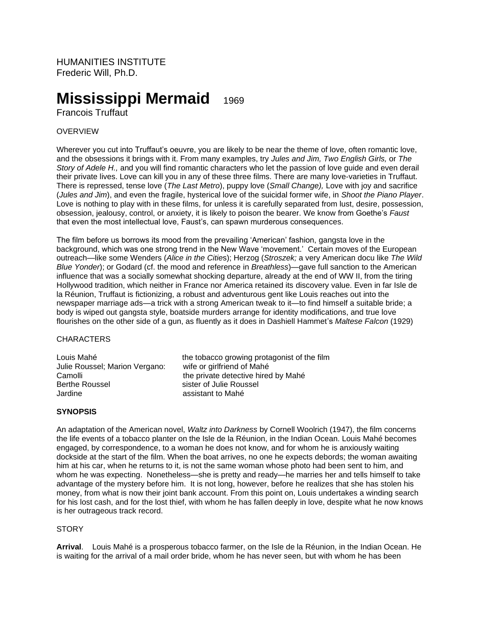HUMANITIES INSTITUTE Frederic Will, Ph.D.

# **Mississippi Mermaid**<sup>1969</sup>

Francois Truffaut

## OVERVIEW

Wherever you cut into Truffaut's oeuvre, you are likely to be near the theme of love, often romantic love, and the obsessions it brings with it. From many examples, try *Jules and Jim, Two English Girls,* or *The Story of Adele H.,* and you will find romantic characters who let the passion of love guide and even derail their private lives. Love can kill you in any of these three films. There are many love-varieties in Truffaut. There is repressed, tense love (*The Last Metro*), puppy love (*Small Change),* Love with joy and sacrifice (*Jules and Jim*), and even the fragile, hysterical love of the suicidal former wife, in *Shoot the Piano Player*. Love is nothing to play with in these films, for unless it is carefully separated from lust, desire, possession, obsession, jealousy, control, or anxiety, it is likely to poison the bearer. We know from Goethe's *Faust* that even the most intellectual love, Faust's, can spawn murderous consequences.

The film before us borrows its mood from the prevailing 'American' fashion, gangsta love in the background, which was one strong trend in the New Wave 'movement.' Certain moves of the European outreach—like some Wenders (*Alice in the Citie*s); Herzog (*Stroszek;* a very American docu like *The Wild Blue Yonder*); or Godard (cf. the mood and reference in *Breathless*)—gave full sanction to the American influence that was a socially somewhat shocking departure, already at the end of WW II, from the tiring Hollywood tradition, which neither in France nor America retained its discovery value. Even in far Isle de la Réunion, Truffaut is fictionizing, a robust and adventurous gent like Louis reaches out into the newspaper marriage ads—a trick with a strong American tweak to it—to find himself a suitable bride; a body is wiped out gangsta style, boatside murders arrange for identity modifications, and true love flourishes on the other side of a gun, as fluently as it does in Dashiell Hammet's *Maltese Falcon* (1929)

#### **CHARACTERS**

Julie Roussel; Marion Vergano: wife or girlfriend of Mahé Jardine **All Accords** assistant to Mahé

Louis Mahé the tobacco growing protagonist of the film Camolli **Camolli** the private detective hired by Mahé<br>
Rerthe Roussel **Refugees** Sister of Julie Roussel sister of Julie Roussel

## **SYNOPSIS**

An adaptation of the American novel, *Waltz into Darkness* by Cornell Woolrich (1947), the film concerns the life events of a tobacco planter on the Isle de la Réunion, in the Indian Ocean. Louis Mahé becomes engaged, by correspondence, to a woman he does not know, and for whom he is anxiously waiting dockside at the start of the film. When the boat arrives, no one he expects debords; the woman awaiting him at his car, when he returns to it, is not the same woman whose photo had been sent to him, and whom he was expecting. Nonetheless—she is pretty and ready—he marries her and tells himself to take advantage of the mystery before him. It is not long, however, before he realizes that she has stolen his money, from what is now their joint bank account. From this point on, Louis undertakes a winding search for his lost cash, and for the lost thief, with whom he has fallen deeply in love, despite what he now knows is her outrageous track record.

## **STORY**

**Arrival**. Louis Mahé is a prosperous tobacco farmer, on the Isle de la Réunion, in the Indian Ocean. He is waiting for the arrival of a mail order bride, whom he has never seen, but with whom he has been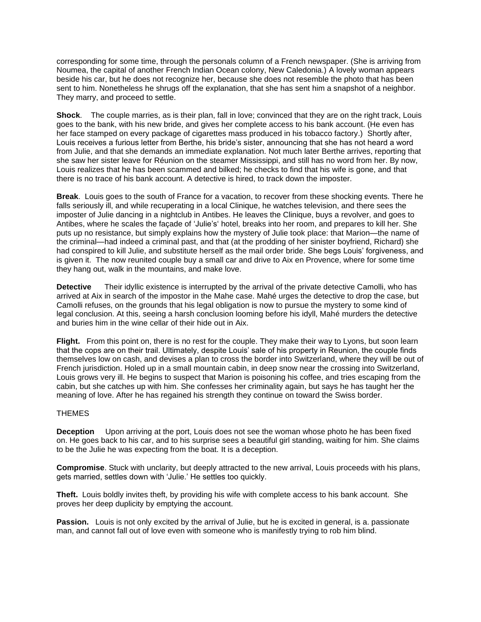corresponding for some time, through the personals column of a French newspaper. (She is arriving from Noumea, the capital of another French Indian Ocean colony, New Caledonia.) A lovely woman appears beside his car, but he does not recognize her, because she does not resemble the photo that has been sent to him. Nonetheless he shrugs off the explanation, that she has sent him a snapshot of a neighbor. They marry, and proceed to settle.

**Shock**. The couple marries, as is their plan, fall in love; convinced that they are on the right track, Louis goes to the bank, with his new bride, and gives her complete access to his bank account. (He even has her face stamped on every package of cigarettes mass produced in his tobacco factory.) Shortly after, Louis receives a furious letter from Berthe, his bride's sister, announcing that she has not heard a word from Julie, and that she demands an immediate explanation. Not much later Berthe arrives, reporting that she saw her sister leave for Réunion on the steamer Mississippi, and still has no word from her. By now, Louis realizes that he has been scammed and bilked; he checks to find that his wife is gone, and that there is no trace of his bank account. A detective is hired, to track down the imposter.

**Break**. Louis goes to the south of France for a vacation, to recover from these shocking events. There he falls seriously ill, and while recuperating in a local Clinique, he watches television, and there sees the imposter of Julie dancing in a nightclub in Antibes. He leaves the Clinique, buys a revolver, and goes to Antibes, where he scales the façade of 'Julie's' hotel, breaks into her room, and prepares to kill her. She puts up no resistance, but simply explains how the mystery of Julie took place: that Marion—the name of the criminal—had indeed a criminal past, and that (at the prodding of her sinister boyfriend, Richard) she had conspired to kill Julie, and substitute herself as the mail order bride. She begs Louis' forgiveness, and is given it. The now reunited couple buy a small car and drive to Aix en Provence, where for some time they hang out, walk in the mountains, and make love.

**Detective** Their idyllic existence is interrupted by the arrival of the private detective Camolli, who has arrived at Aix in search of the impostor in the Mahe case. Mahé urges the detective to drop the case, but Camolli refuses, on the grounds that his legal obligation is now to pursue the mystery to some kind of legal conclusion. At this, seeing a harsh conclusion looming before his idyll, Mahé murders the detective and buries him in the wine cellar of their hide out in Aix.

Flight. From this point on, there is no rest for the couple. They make their way to Lyons, but soon learn that the cops are on their trail. Ultimately, despite Louis' sale of his property in Reunion, the couple finds themselves low on cash, and devises a plan to cross the border into Switzerland, where they will be out of French jurisdiction. Holed up in a small mountain cabin, in deep snow near the crossing into Switzerland, Louis grows very ill. He begins to suspect that Marion is poisoning his coffee, and tries escaping from the cabin, but she catches up with him. She confesses her criminality again, but says he has taught her the meaning of love. After he has regained his strength they continue on toward the Swiss border.

## THEMES

**Deception** Upon arriving at the port, Louis does not see the woman whose photo he has been fixed on. He goes back to his car, and to his surprise sees a beautiful girl standing, waiting for him. She claims to be the Julie he was expecting from the boat. It is a deception.

**Compromise**. Stuck with unclarity, but deeply attracted to the new arrival, Louis proceeds with his plans, gets married, settles down with 'Julie.' He settles too quickly.

**Theft.** Louis boldly invites theft, by providing his wife with complete access to his bank account. She proves her deep duplicity by emptying the account.

**Passion.** Louis is not only excited by the arrival of Julie, but he is excited in general, is a. passionate man, and cannot fall out of love even with someone who is manifestly trying to rob him blind.